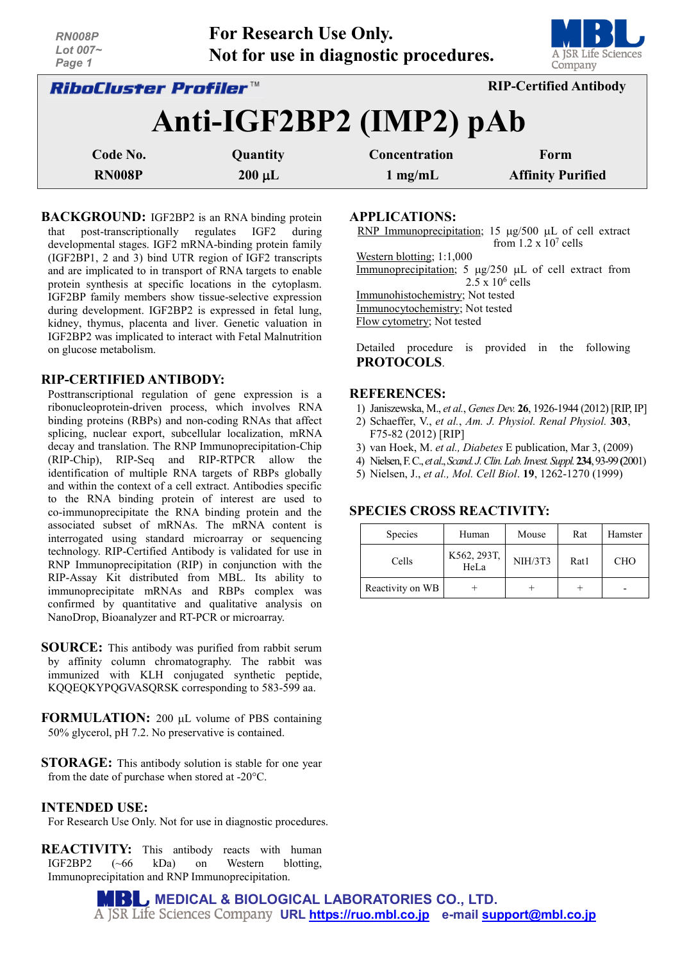| <b>NIVUUDE</b><br>Lot 007~<br>Page 1                                 | The Increation Cac Omly. | Not for use in diagnostic procedures. | A JSR Life Sciences<br>Company |  |  |  |
|----------------------------------------------------------------------|--------------------------|---------------------------------------|--------------------------------|--|--|--|
| <b>RIP-Certified Antibody</b><br><i><b>RiboCluster Profiler™</b></i> |                          |                                       |                                |  |  |  |
|                                                                      |                          | Anti-IGF2BP2 (IMP2) pAb               |                                |  |  |  |
| Code No.                                                             | Quantity                 | Concentration                         | Form                           |  |  |  |
| <b>RN008P</b>                                                        | $200 \mu L$              | $1 \text{ mg/mL}$                     | <b>Affinity Purified</b>       |  |  |  |

**For Research Use Only.**

**BACKGROUND:** IGF2BP2 is an RNA binding protein that post-transcriptionally regulates IGF2 during developmental stages. IGF2 mRNA-binding protein family (IGF2BP1, 2 and 3) bind UTR region of IGF2 transcripts and are implicated to in transport of RNA targets to enable protein synthesis at specific locations in the cytoplasm. IGF2BP family members show tissue-selective expression during development. IGF2BP2 is expressed in fetal lung, kidney, thymus, placenta and liver. Genetic valuation in IGF2BP2 was implicated to interact with Fetal Malnutrition on glucose metabolism.

### **RIP-CERTIFIED ANTIBODY:**

*RN008P*

Posttranscriptional regulation of gene expression is a ribonucleoprotein-driven process, which involves RNA binding proteins (RBPs) and non-coding RNAs that affect splicing, nuclear export, subcellular localization, mRNA decay and translation. The RNP Immunoprecipitation-Chip (RIP-Chip), RIP-Seq and RIP-RTPCR allow the identification of multiple RNA targets of RBPs globally and within the context of a cell extract. Antibodies specific to the RNA binding protein of interest are used to co-immunoprecipitate the RNA binding protein and the associated subset of mRNAs. The mRNA content is interrogated using standard microarray or sequencing technology. RIP-Certified Antibody is validated for use in RNP Immunoprecipitation (RIP) in conjunction with the RIP-Assay Kit distributed from MBL. Its ability to immunoprecipitate mRNAs and RBPs complex was confirmed by quantitative and qualitative analysis on NanoDrop, Bioanalyzer and RT-PCR or microarray.

- **SOURCE:** This antibody was purified from rabbit serum by affinity column chromatography. The rabbit was immunized with KLH conjugated synthetic peptide, KQQEQKYPQGVASQRSK corresponding to 583-599 aa.
- **FORMULATION:** 200 µL volume of PBS containing 50% glycerol, pH 7.2. No preservative is contained.
- **STORAGE:** This antibody solution is stable for one year from the date of purchase when stored at -20°C.

### **INTENDED USE:**

For Research Use Only. Not for use in diagnostic procedures.

**REACTIVITY:** This antibody reacts with human IGF2BP2 (~66 kDa) on Western blotting, Immunoprecipitation and RNP Immunoprecipitation.

**APPLICATIONS:** 

RNP Immunoprecipitation; 15 µg/500 µL of cell extract from  $1.2 \times 10^7$  cells Western blotting; 1:1,000

Immunoprecipitation; 5  $\mu$ g/250  $\mu$ L of cell extract from  $2.5 \times 10^6$  cells

Immunohistochemistry; Not tested

Immunocytochemistry; Not tested

Flow cytometry; Not tested

Detailed procedure is provided in the following **PROTOCOLS**.

### **REFERENCES:**

- 1) Janiszewska, M., *et al.*, *Genes Dev.* **26**, 1926-1944 (2012) [RIP, IP]
- 2) Schaeffer, V., *et al.*, *Am. J. Physiol. Renal Physiol.* **303**, F75-82 (2012) [RIP]
- 3) van Hoek, M. *et al., Diabetes* E publication, Mar 3, (2009)
- 4) Nielsen, F. C., *et al*., *Scand.J.Clin.Lab.Invest.Suppl.***234**, 93-99**(**2001)
- 5) Nielsen, J., *et al., Mol. Cell Biol*. **19**, 1262-1270 (1999)

# **SPECIES CROSS REACTIVITY:**

| Species          | Human               | Mouse   | Rat  | Hamster    |
|------------------|---------------------|---------|------|------------|
| Cells            | K562, 293T,<br>HeLa | NIH/3T3 | Rat1 | <b>CHO</b> |
| Reactivity on WB |                     |         |      |            |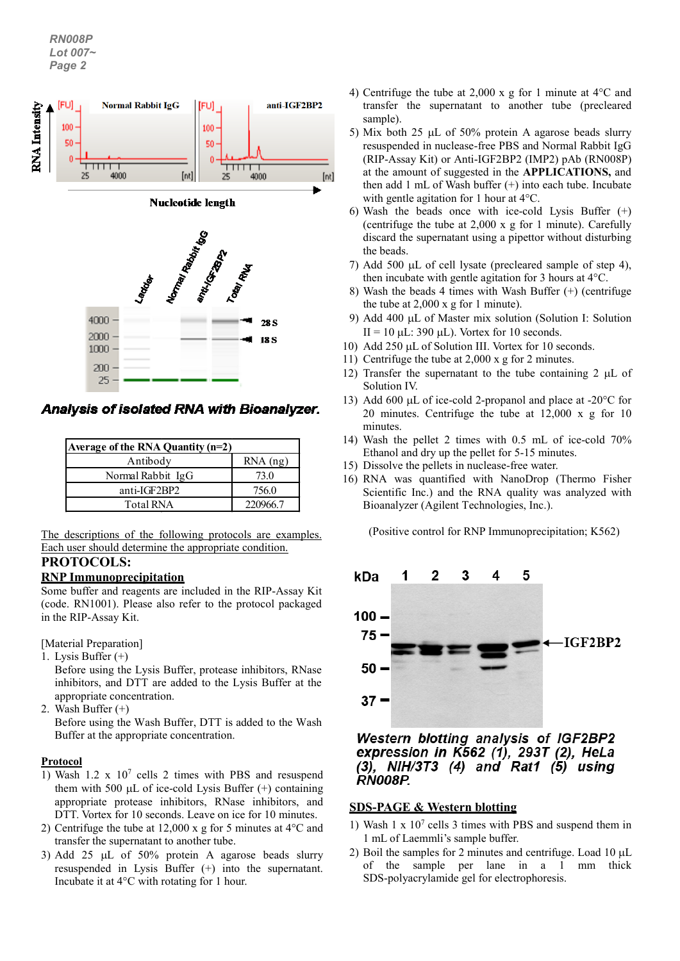

Analysis of isolated RNA with Bioanalyzer.

| Average of the RNA Quantity $(n=2)$ |            |  |  |  |
|-------------------------------------|------------|--|--|--|
| Antibody                            | $RNA$ (ng) |  |  |  |
| Normal Rabbit IgG                   | 73.0       |  |  |  |
| anti-IGF2BP2                        | 756.0      |  |  |  |
| <b>Total RNA</b>                    | 2209667    |  |  |  |

The descriptions of the following protocols are examples. Each user should determine the appropriate condition.

# **PROTOCOLS:**

### **RNP Immunoprecipitation**

Some buffer and reagents are included in the RIP-Assay Kit (code. RN1001). Please also refer to the protocol packaged in the RIP-Assay Kit.

### [Material Preparation]

1. Lysis Buffer (+)

Before using the Lysis Buffer, protease inhibitors, RNase inhibitors, and DTT are added to the Lysis Buffer at the appropriate concentration.

2. Wash Buffer (+)

Before using the Wash Buffer, DTT is added to the Wash Buffer at the appropriate concentration.

### **Protocol**

- 1) Wash 1.2 x 107 cells 2 times with PBS and resuspend them with 500  $\mu$ L of ice-cold Lysis Buffer (+) containing appropriate protease inhibitors, RNase inhibitors, and DTT. Vortex for 10 seconds. Leave on ice for 10 minutes.
- 2) Centrifuge the tube at 12,000 x g for 5 minutes at 4°C and transfer the supernatant to another tube.
- 3) Add 25 µL of 50% protein A agarose beads slurry resuspended in Lysis Buffer (+) into the supernatant. Incubate it at 4°C with rotating for 1 hour.
- 4) Centrifuge the tube at 2,000 x g for 1 minute at 4°C and transfer the supernatant to another tube (precleared sample).
- 5) Mix both 25 µL of 50% protein A agarose beads slurry resuspended in nuclease-free PBS and Normal Rabbit IgG (RIP-Assay Kit) or Anti-IGF2BP2 (IMP2) pAb (RN008P) at the amount of suggested in the **APPLICATIONS,** and then add 1 mL of Wash buffer (+) into each tube. Incubate with gentle agitation for 1 hour at 4°C.
- 6) Wash the beads once with ice-cold Lysis Buffer  $(+)$ (centrifuge the tube at 2,000 x g for 1 minute). Carefully discard the supernatant using a pipettor without disturbing the beads.
- 7) Add 500 µL of cell lysate (precleared sample of step 4), then incubate with gentle agitation for 3 hours at 4°C.
- 8) Wash the beads 4 times with Wash Buffer (+) (centrifuge the tube at 2,000 x g for 1 minute).
- 9) Add 400 µL of Master mix solution (Solution I: Solution  $II = 10$   $\mu$ L: 390  $\mu$ L). Vortex for 10 seconds.
- 10) Add 250 µL of Solution III. Vortex for 10 seconds.
- 11) Centrifuge the tube at 2,000 x g for 2 minutes.
- 12) Transfer the supernatant to the tube containing 2 uL of Solution IV.
- 13) Add 600 µL of ice-cold 2-propanol and place at -20°C for 20 minutes. Centrifuge the tube at 12,000 x g for 10 minutes.
- 14) Wash the pellet 2 times with 0.5 mL of ice-cold 70% Ethanol and dry up the pellet for 5-15 minutes.
- 15) Dissolve the pellets in nuclease-free water.
- 16) RNA was quantified with NanoDrop (Thermo Fisher Scientific Inc.) and the RNA quality was analyzed with Bioanalyzer (Agilent Technologies, Inc.).

(Positive control for RNP Immunoprecipitation; K562)



**Western blotting analysis of IGF2BP2** expression in  $K562$  (1), 293T (2), HeLa  $(3)$ , NIH/3T3  $(4)$  and Rat1  $(5)$  using *RN008P.* 

# **SDS-PAGE & Western blotting**

- 1) Wash 1 x 107 cells 3 times with PBS and suspend them in 1 mL of Laemmli's sample buffer.
- 2) Boil the samples for 2 minutes and centrifuge. Load 10  $\mu$ L of the sample per lane in a 1 mm thick SDS-polyacrylamide gel for electrophoresis.